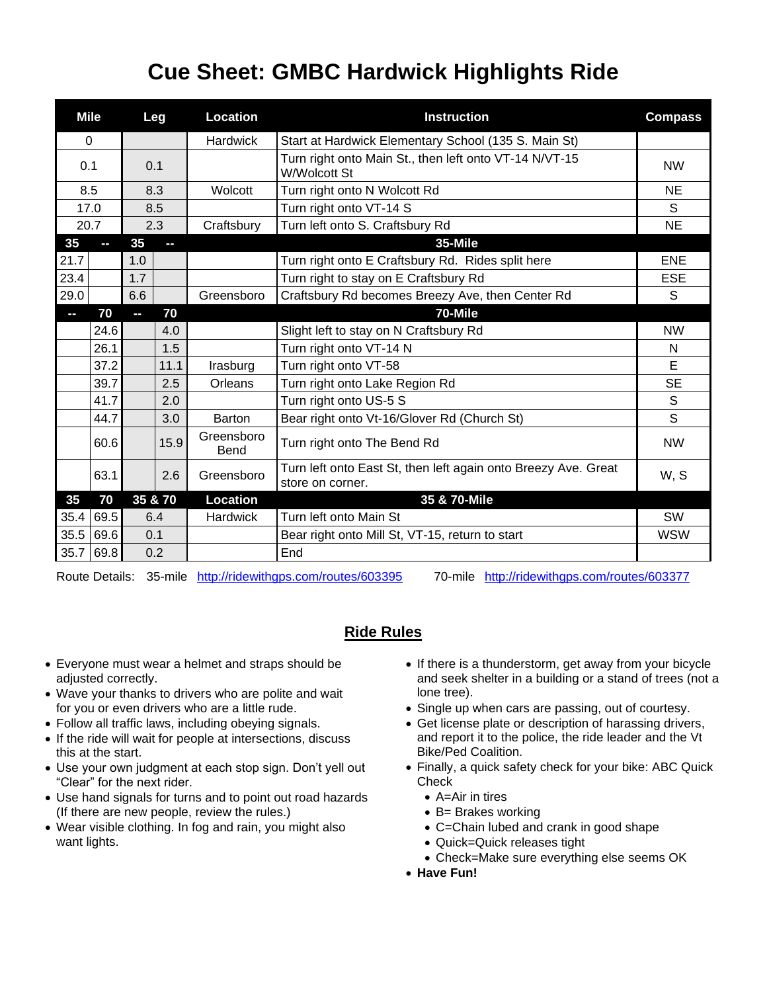## **Cue Sheet: GMBC Hardwick Highlights Ride**

| <b>Mile</b>              |               | Leg |      | <b>Location</b>           | <b>Instruction</b>                                                                 | <b>Compass</b> |
|--------------------------|---------------|-----|------|---------------------------|------------------------------------------------------------------------------------|----------------|
| $\Omega$                 |               |     |      | <b>Hardwick</b>           | Start at Hardwick Elementary School (135 S. Main St)                               |                |
| 0.1                      |               | 0.1 |      |                           | Turn right onto Main St., then left onto VT-14 N/VT-15<br><b>W/Wolcott St</b>      | <b>NW</b>      |
| 8.5                      |               | 8.3 |      | Wolcott                   | Turn right onto N Wolcott Rd                                                       | <b>NE</b>      |
| 17.0                     |               | 8.5 |      |                           | Turn right onto VT-14 S                                                            | S              |
| 20.7                     |               | 2.3 |      | Craftsbury                | Turn left onto S. Craftsbury Rd                                                    | <b>NE</b>      |
| 35                       |               | 35  | H    |                           | 35-Mile                                                                            |                |
| 21.7                     |               | 1.0 |      |                           | Turn right onto E Craftsbury Rd. Rides split here                                  | <b>ENE</b>     |
| 23.4                     |               | 1.7 |      |                           | Turn right to stay on E Craftsbury Rd                                              | <b>ESE</b>     |
| 29.0                     |               | 6.6 |      | Greensboro                | Craftsbury Rd becomes Breezy Ave, then Center Rd                                   | S              |
| $\overline{\phantom{a}}$ | 70            | P.  | 70   |                           | 70-Mile                                                                            |                |
|                          | 24.6          |     | 4.0  |                           | Slight left to stay on N Craftsbury Rd                                             | <b>NW</b>      |
|                          | 26.1          |     | 1.5  |                           | Turn right onto VT-14 N                                                            | N              |
|                          | 37.2          |     | 11.1 | Irasburg                  | Turn right onto VT-58                                                              | E              |
|                          | 39.7          |     | 2.5  | Orleans                   | Turn right onto Lake Region Rd                                                     | <b>SE</b>      |
|                          | 41.7          |     | 2.0  |                           | Turn right onto US-5 S                                                             | S              |
|                          | 44.7          |     | 3.0  | Barton                    | Bear right onto Vt-16/Glover Rd (Church St)                                        | S              |
|                          | 60.6          |     | 15.9 | Greensboro<br><b>Bend</b> | Turn right onto The Bend Rd                                                        | <b>NW</b>      |
|                          | 63.1          |     | 2.6  | Greensboro                | Turn left onto East St, then left again onto Breezy Ave. Great<br>store on corner. | W, S           |
| 35                       | 70<br>35 & 70 |     |      | <b>Location</b>           | 35 & 70-Mile                                                                       |                |
| 35.4                     | 69.5          | 6.4 |      | <b>Hardwick</b>           | Turn left onto Main St                                                             | SW             |
| 35.5                     | 69.6          | 0.1 |      |                           | Bear right onto Mill St, VT-15, return to start                                    | <b>WSW</b>     |
| 35.7                     | 69.8          | 0.2 |      |                           | End                                                                                |                |

Route Details: 35-mile <http://ridewithgps.com/routes/603395> 70-mile <http://ridewithgps.com/routes/603377>

## **Ride Rules**

- Everyone must wear a helmet and straps should be adjusted correctly.
- Wave your thanks to drivers who are polite and wait for you or even drivers who are a little rude.
- Follow all traffic laws, including obeying signals.
- If the ride will wait for people at intersections, discuss this at the start.
- Use your own judgment at each stop sign. Don't yell out "Clear" for the next rider.
- Use hand signals for turns and to point out road hazards (If there are new people, review the rules.)
- Wear visible clothing. In fog and rain, you might also want lights.
- If there is a thunderstorm, get away from your bicycle and seek shelter in a building or a stand of trees (not a lone tree).
- Single up when cars are passing, out of courtesy.
- Get license plate or description of harassing drivers, and report it to the police, the ride leader and the Vt Bike/Ped Coalition.
- Finally, a quick safety check for your bike: ABC Quick Check
	- A=Air in tires
	- B= Brakes working
	- C=Chain lubed and crank in good shape
	- Quick=Quick releases tight
	- Check=Make sure everything else seems OK
- **Have Fun!**